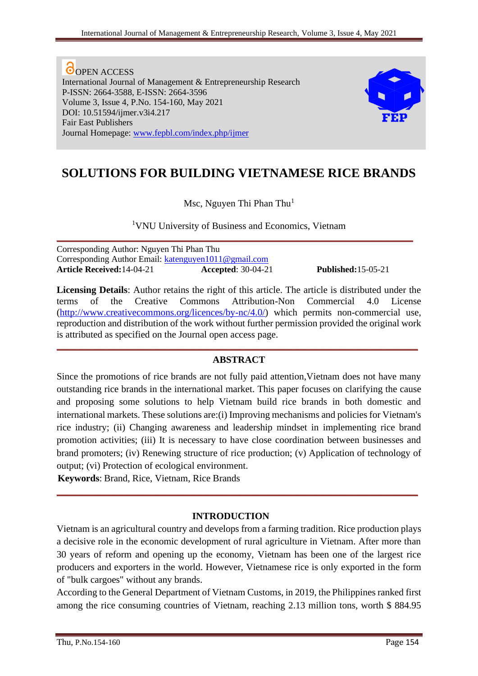**O** OPEN ACCESS International Journal of Management & Entrepreneurship Research P-ISSN: 2664-3588, E-ISSN: 2664-3596 Volume 3, Issue 4, P.No. 154-160, May 2021 DOI: 10.51594/ijmer.v3i4.217 Fair East Publishers Journal Homepage: [www.fepbl.com/index.php/ijmer](http://www.fepbl.com/index.php/ijmer)



# **SOLUTIONS FOR BUILDING VIETNAMESE RICE BRANDS**

Msc, Nguyen Thi Phan Thu<sup>1</sup>

<sup>1</sup>VNU University of Business and Economics, Vietnam

**\_\_\_\_\_\_\_\_\_\_\_\_\_\_\_\_\_\_\_\_\_\_\_\_\_\_\_\_\_\_\_\_\_\_\_\_\_\_\_\_\_\_\_\_\_\_\_\_\_\_\_\_\_\_\_\_\_\_\_\_\_\_\_\_\_\_\_\_\_\_\_\_\_\_**

Corresponding Author: Nguyen Thi Phan Thu Corresponding Author Email: [katenguyen1011@gmail.com](mailto:katenguyen1011@gmail.com) **Article Received:**14-04-21 **Accepted**: 30-04-21 **Published:**15-05-21

**Licensing Details**: Author retains the right of this article. The article is distributed under the terms of the Creative Commons Attribution-Non Commercial 4.0 License [\(http://www.creativecommons.org/licences/by-nc/4.0/\)](http://www.creativecommons.org/licences/by-nc/4.0/) which permits non-commercial use, reproduction and distribution of the work without further permission provided the original work is attributed as specified on the Journal open access page.

#### **ABSTRACT**

**\_\_\_\_\_\_\_\_\_\_\_\_\_\_\_\_\_\_\_\_\_\_\_\_\_\_\_\_\_\_\_\_\_\_\_\_\_\_\_\_\_\_\_\_\_\_\_\_\_\_\_\_\_\_\_\_\_\_\_\_\_\_\_\_\_\_\_\_\_\_\_\_\_\_\_**

Since the promotions of rice brands are not fully paid attention,Vietnam does not have many outstanding rice brands in the international market. This paper focuses on clarifying the cause and proposing some solutions to help Vietnam build rice brands in both domestic and international markets. These solutions are:(i) Improving mechanisms and policies for Vietnam's rice industry; (ii) Changing awareness and leadership mindset in implementing rice brand promotion activities; (iii) It is necessary to have close coordination between businesses and brand promoters; (iv) Renewing structure of rice production; (v) Application of technology of output; (vi) Protection of ecological environment.

**Keywords**: Brand, Rice, Vietnam, Rice Brands

#### **INTRODUCTION**

**\_\_\_\_\_\_\_\_\_\_\_\_\_\_\_\_\_\_\_\_\_\_\_\_\_\_\_\_\_\_\_\_\_\_\_\_\_\_\_\_\_\_\_\_\_\_\_\_\_\_\_\_\_\_\_\_\_\_\_\_\_\_\_\_\_\_\_\_\_\_\_\_\_\_\_**

Vietnam is an agricultural country and develops from a farming tradition. Rice production plays a decisive role in the economic development of rural agriculture in Vietnam. After more than 30 years of reform and opening up the economy, Vietnam has been one of the largest rice producers and exporters in the world. However, Vietnamese rice is only exported in the form of "bulk cargoes" without any brands.

According to the General Department of Vietnam Customs, in 2019, the Philippines ranked first among the rice consuming countries of Vietnam, reaching 2.13 million tons, worth \$ 884.95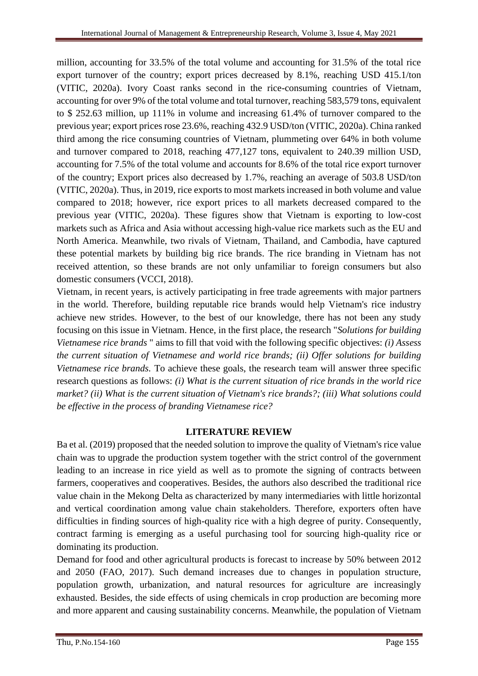million, accounting for 33.5% of the total volume and accounting for 31.5% of the total rice export turnover of the country; export prices decreased by 8.1%, reaching USD 415.1/ton (VITIC, 2020a). Ivory Coast ranks second in the rice-consuming countries of Vietnam, accounting for over 9% of the total volume and total turnover, reaching 583,579 tons, equivalent to \$ 252.63 million, up 111% in volume and increasing 61.4% of turnover compared to the previous year; export prices rose 23.6%, reaching 432.9 USD/ton (VITIC, 2020a). China ranked third among the rice consuming countries of Vietnam, plummeting over 64% in both volume and turnover compared to 2018, reaching 477,127 tons, equivalent to 240.39 million USD, accounting for 7.5% of the total volume and accounts for 8.6% of the total rice export turnover of the country; Export prices also decreased by 1.7%, reaching an average of 503.8 USD/ton (VITIC, 2020a). Thus, in 2019, rice exports to most markets increased in both volume and value compared to 2018; however, rice export prices to all markets decreased compared to the previous year (VITIC, 2020a). These figures show that Vietnam is exporting to low-cost markets such as Africa and Asia without accessing high-value rice markets such as the EU and North America. Meanwhile, two rivals of Vietnam, Thailand, and Cambodia, have captured these potential markets by building big rice brands. The rice branding in Vietnam has not received attention, so these brands are not only unfamiliar to foreign consumers but also domestic consumers (VCCI, 2018).

Vietnam, in recent years, is actively participating in free trade agreements with major partners in the world. Therefore, building reputable rice brands would help Vietnam's rice industry achieve new strides. However, to the best of our knowledge, there has not been any study focusing on this issue in Vietnam. Hence, in the first place, the research "*Solutions for building Vietnamese rice brands* " aims to fill that void with the following specific objectives: *(i) Assess the current situation of Vietnamese and world rice brands; (ii) Offer solutions for building Vietnamese rice brands.* To achieve these goals, the research team will answer three specific research questions as follows: *(i) What is the current situation of rice brands in the world rice market? (ii) What is the current situation of Vietnam's rice brands?; (iii) What solutions could be effective in the process of branding Vietnamese rice?*

#### **LITERATURE REVIEW**

Ba et al. (2019) proposed that the needed solution to improve the quality of Vietnam's rice value chain was to upgrade the production system together with the strict control of the government leading to an increase in rice yield as well as to promote the signing of contracts between farmers, cooperatives and cooperatives. Besides, the authors also described the traditional rice value chain in the Mekong Delta as characterized by many intermediaries with little horizontal and vertical coordination among value chain stakeholders. Therefore, exporters often have difficulties in finding sources of high-quality rice with a high degree of purity. Consequently, contract farming is emerging as a useful purchasing tool for sourcing high-quality rice or dominating its production.

Demand for food and other agricultural products is forecast to increase by 50% between 2012 and 2050 (FAO, 2017). Such demand increases due to changes in population structure, population growth, urbanization, and natural resources for agriculture are increasingly exhausted. Besides, the side effects of using chemicals in crop production are becoming more and more apparent and causing sustainability concerns. Meanwhile, the population of Vietnam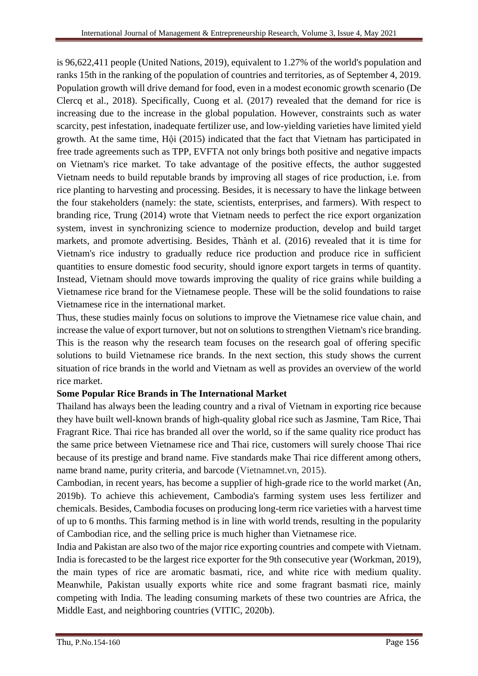is 96,622,411 people (United Nations, 2019), equivalent to 1.27% of the world's population and ranks 15th in the ranking of the population of countries and territories, as of September 4, 2019. Population growth will drive demand for food, even in a modest economic growth scenario (De Clercq et al., 2018). Specifically, Cuong et al. (2017) revealed that the demand for rice is increasing due to the increase in the global population. However, constraints such as water scarcity, pest infestation, inadequate fertilizer use, and low-yielding varieties have limited yield growth. At the same time, Hội (2015) indicated that the fact that Vietnam has participated in free trade agreements such as TPP, EVFTA not only brings both positive and negative impacts on Vietnam's rice market. To take advantage of the positive effects, the author suggested Vietnam needs to build reputable brands by improving all stages of rice production, i.e. from rice planting to harvesting and processing. Besides, it is necessary to have the linkage between the four stakeholders (namely: the state, scientists, enterprises, and farmers). With respect to branding rice, Trung (2014) wrote that Vietnam needs to perfect the rice export organization system, invest in synchronizing science to modernize production, develop and build target markets, and promote advertising. Besides, Thành et al. (2016) revealed that it is time for Vietnam's rice industry to gradually reduce rice production and produce rice in sufficient quantities to ensure domestic food security, should ignore export targets in terms of quantity. Instead, Vietnam should move towards improving the quality of rice grains while building a Vietnamese rice brand for the Vietnamese people. These will be the solid foundations to raise Vietnamese rice in the international market.

Thus, these studies mainly focus on solutions to improve the Vietnamese rice value chain, and increase the value of export turnover, but not on solutions to strengthen Vietnam's rice branding. This is the reason why the research team focuses on the research goal of offering specific solutions to build Vietnamese rice brands. In the next section, this study shows the current situation of rice brands in the world and Vietnam as well as provides an overview of the world rice market.

#### **Some Popular Rice Brands in The International Market**

Thailand has always been the leading country and a rival of Vietnam in exporting rice because they have built well-known brands of high-quality global rice such as Jasmine, Tam Rice, Thai Fragrant Rice. Thai rice has branded all over the world, so if the same quality rice product has the same price between Vietnamese rice and Thai rice, customers will surely choose Thai rice because of its prestige and brand name. Five standards make Thai rice different among others, name brand name, purity criteria, and barcode (Vietnamnet.vn, 2015).

Cambodian, in recent years, has become a supplier of high-grade rice to the world market (An, 2019b). To achieve this achievement, Cambodia's farming system uses less fertilizer and chemicals. Besides, Cambodia focuses on producing long-term rice varieties with a harvest time of up to 6 months. This farming method is in line with world trends, resulting in the popularity of Cambodian rice, and the selling price is much higher than Vietnamese rice.

India and Pakistan are also two of the major rice exporting countries and compete with Vietnam. India is forecasted to be the largest rice exporter for the 9th consecutive year (Workman, 2019), the main types of rice are aromatic basmati, rice, and white rice with medium quality. Meanwhile, Pakistan usually exports white rice and some fragrant basmati rice, mainly competing with India. The leading consuming markets of these two countries are Africa, the Middle East, and neighboring countries (VITIC, 2020b).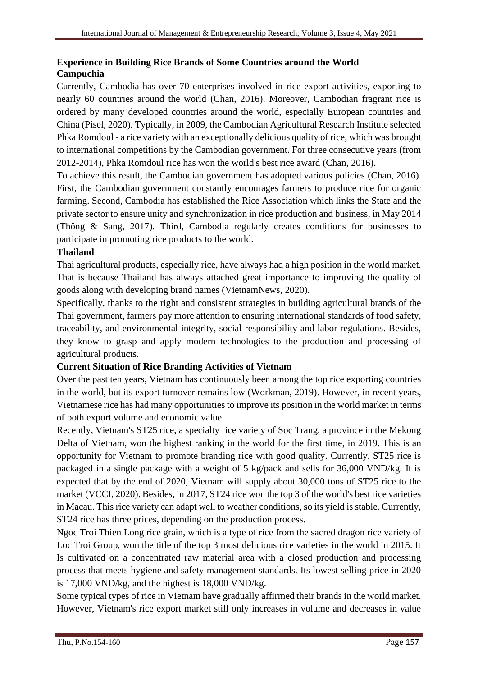### **Experience in Building Rice Brands of Some Countries around the World Campuchia**

Currently, Cambodia has over 70 enterprises involved in rice export activities, exporting to nearly 60 countries around the world (Chan, 2016). Moreover, Cambodian fragrant rice is ordered by many developed countries around the world, especially European countries and China (Pisel, 2020). Typically, in 2009, the Cambodian Agricultural Research Institute selected Phka Romdoul - a rice variety with an exceptionally delicious quality of rice, which was brought to international competitions by the Cambodian government. For three consecutive years (from 2012-2014), Phka Romdoul rice has won the world's best rice award (Chan, 2016).

To achieve this result, the Cambodian government has adopted various policies (Chan, 2016). First, the Cambodian government constantly encourages farmers to produce rice for organic farming. Second, Cambodia has established the Rice Association which links the State and the private sector to ensure unity and synchronization in rice production and business, in May 2014 (Thông & Sang, 2017). Third, Cambodia regularly creates conditions for businesses to participate in promoting rice products to the world.

#### **Thailand**

Thai agricultural products, especially rice, have always had a high position in the world market. That is because Thailand has always attached great importance to improving the quality of goods along with developing brand names (VietnamNews, 2020).

Specifically, thanks to the right and consistent strategies in building agricultural brands of the Thai government, farmers pay more attention to ensuring international standards of food safety, traceability, and environmental integrity, social responsibility and labor regulations. Besides, they know to grasp and apply modern technologies to the production and processing of agricultural products.

#### **Current Situation of Rice Branding Activities of Vietnam**

Over the past ten years, Vietnam has continuously been among the top rice exporting countries in the world, but its export turnover remains low (Workman, 2019). However, in recent years, Vietnamese rice has had many opportunities to improve its position in the world market in terms of both export volume and economic value.

Recently, Vietnam's ST25 rice, a specialty rice variety of Soc Trang, a province in the Mekong Delta of Vietnam, won the highest ranking in the world for the first time, in 2019. This is an opportunity for Vietnam to promote branding rice with good quality. Currently, ST25 rice is packaged in a single package with a weight of 5 kg/pack and sells for 36,000 VND/kg. It is expected that by the end of 2020, Vietnam will supply about 30,000 tons of ST25 rice to the market (VCCI, 2020). Besides, in 2017, ST24 rice won the top 3 of the world's best rice varieties in Macau. This rice variety can adapt well to weather conditions, so its yield is stable. Currently, ST24 rice has three prices, depending on the production process.

Ngoc Troi Thien Long rice grain, which is a type of rice from the sacred dragon rice variety of Loc Troi Group, won the title of the top 3 most delicious rice varieties in the world in 2015. It Is cultivated on a concentrated raw material area with a closed production and processing process that meets hygiene and safety management standards. Its lowest selling price in 2020 is 17,000 VND/kg, and the highest is 18,000 VND/kg.

Some typical types of rice in Vietnam have gradually affirmed their brands in the world market. However, Vietnam's rice export market still only increases in volume and decreases in value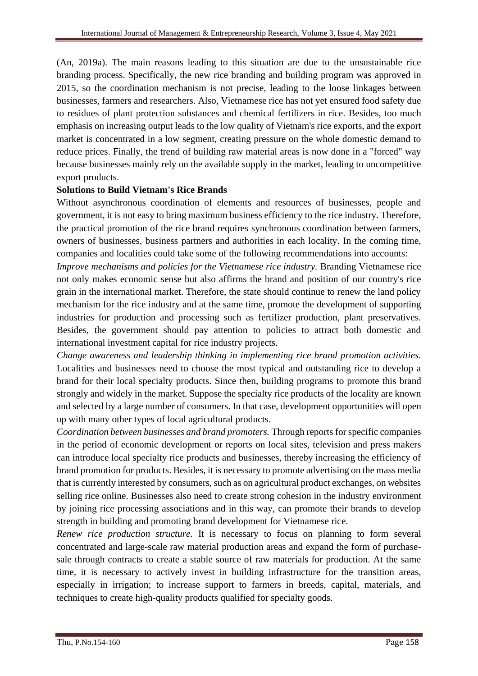(An, 2019a). The main reasons leading to this situation are due to the unsustainable rice branding process. Specifically, the new rice branding and building program was approved in 2015, so the coordination mechanism is not precise, leading to the loose linkages between businesses, farmers and researchers. Also, Vietnamese rice has not yet ensured food safety due to residues of plant protection substances and chemical fertilizers in rice. Besides, too much emphasis on increasing output leads to the low quality of Vietnam's rice exports, and the export market is concentrated in a low segment, creating pressure on the whole domestic demand to reduce prices. Finally, the trend of building raw material areas is now done in a "forced" way because businesses mainly rely on the available supply in the market, leading to uncompetitive export products.

#### **Solutions to Build Vietnam's Rice Brands**

Without asynchronous coordination of elements and resources of businesses, people and government, it is not easy to bring maximum business efficiency to the rice industry. Therefore, the practical promotion of the rice brand requires synchronous coordination between farmers, owners of businesses, business partners and authorities in each locality. In the coming time, companies and localities could take some of the following recommendations into accounts:

*Improve mechanisms and policies for the Vietnamese rice industry.* Branding Vietnamese rice not only makes economic sense but also affirms the brand and position of our country's rice grain in the international market. Therefore, the state should continue to renew the land policy mechanism for the rice industry and at the same time, promote the development of supporting industries for production and processing such as fertilizer production, plant preservatives. Besides, the government should pay attention to policies to attract both domestic and international investment capital for rice industry projects.

*Change awareness and leadership thinking in implementing rice brand promotion activities.*  Localities and businesses need to choose the most typical and outstanding rice to develop a brand for their local specialty products. Since then, building programs to promote this brand strongly and widely in the market. Suppose the specialty rice products of the locality are known and selected by a large number of consumers. In that case, development opportunities will open up with many other types of local agricultural products.

*Coordination between businesses and brand promoters.* Through reports for specific companies in the period of economic development or reports on local sites, television and press makers can introduce local specialty rice products and businesses, thereby increasing the efficiency of brand promotion for products. Besides, it is necessary to promote advertising on the mass media that is currently interested by consumers, such as on agricultural product exchanges, on websites selling rice online. Businesses also need to create strong cohesion in the industry environment by joining rice processing associations and in this way, can promote their brands to develop strength in building and promoting brand development for Vietnamese rice*.*

*Renew rice production structure.* It is necessary to focus on planning to form several concentrated and large-scale raw material production areas and expand the form of purchasesale through contracts to create a stable source of raw materials for production. At the same time, it is necessary to actively invest in building infrastructure for the transition areas, especially in irrigation; to increase support to farmers in breeds, capital, materials, and techniques to create high-quality products qualified for specialty goods.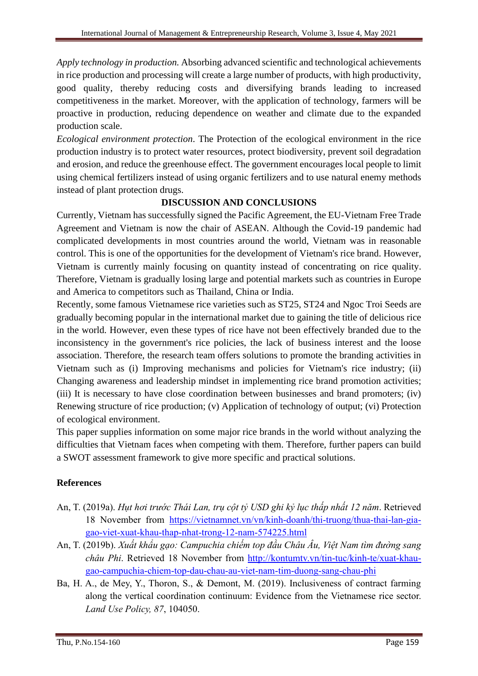*Apply technology in production.* Absorbing advanced scientific and technological achievements in rice production and processing will create a large number of products, with high productivity, good quality, thereby reducing costs and diversifying brands leading to increased competitiveness in the market. Moreover, with the application of technology, farmers will be proactive in production, reducing dependence on weather and climate due to the expanded production scale.

*Ecological environment protection*. The Protection of the ecological environment in the rice production industry is to protect water resources, protect biodiversity, prevent soil degradation and erosion, and reduce the greenhouse effect. The government encourages local people to limit using chemical fertilizers instead of using organic fertilizers and to use natural enemy methods instead of plant protection drugs.

## **DISCUSSION AND CONCLUSIONS**

Currently, Vietnam has successfully signed the Pacific Agreement, the EU-Vietnam Free Trade Agreement and Vietnam is now the chair of ASEAN. Although the Covid-19 pandemic had complicated developments in most countries around the world, Vietnam was in reasonable control. This is one of the opportunities for the development of Vietnam's rice brand. However, Vietnam is currently mainly focusing on quantity instead of concentrating on rice quality. Therefore, Vietnam is gradually losing large and potential markets such as countries in Europe and America to competitors such as Thailand, China or India.

Recently, some famous Vietnamese rice varieties such as ST25, ST24 and Ngoc Troi Seeds are gradually becoming popular in the international market due to gaining the title of delicious rice in the world. However, even these types of rice have not been effectively branded due to the inconsistency in the government's rice policies, the lack of business interest and the loose association. Therefore, the research team offers solutions to promote the branding activities in Vietnam such as (i) Improving mechanisms and policies for Vietnam's rice industry; (ii) Changing awareness and leadership mindset in implementing rice brand promotion activities; (iii) It is necessary to have close coordination between businesses and brand promoters; (iv) Renewing structure of rice production; (v) Application of technology of output; (vi) Protection of ecological environment.

This paper supplies information on some major rice brands in the world without analyzing the difficulties that Vietnam faces when competing with them. Therefore, further papers can build a SWOT assessment framework to give more specific and practical solutions.

## **References**

- An, T. (2019a). *Hụt hơi trước Thái Lan, trụ cột tỷ USD ghi kỷ lục thấp nhất 12 năm*. Retrieved 18 November from [https://vietnamnet.vn/vn/kinh-doanh/thi-truong/thua-thai-lan-gia](https://vietnamnet.vn/vn/kinh-doanh/thi-truong/thua-thai-lan-gia-gao-viet-xuat-khau-thap-nhat-trong-12-nam-574225.html)[gao-viet-xuat-khau-thap-nhat-trong-12-nam-574225.html](https://vietnamnet.vn/vn/kinh-doanh/thi-truong/thua-thai-lan-gia-gao-viet-xuat-khau-thap-nhat-trong-12-nam-574225.html)
- An, T. (2019b). *Xuất khẩu gạo: Campuchia chiếm top đầu Châu Âu, Việt Nam tìm đường sang châu Phi*. Retrieved 18 November from [http://kontumtv.vn/tin-tuc/kinh-te/xuat-khau](http://kontumtv.vn/tin-tuc/kinh-te/xuat-khau-gao-campuchia-chiem-top-dau-chau-au-viet-nam-tim-duong-sang-chau-phi)[gao-campuchia-chiem-top-dau-chau-au-viet-nam-tim-duong-sang-chau-phi](http://kontumtv.vn/tin-tuc/kinh-te/xuat-khau-gao-campuchia-chiem-top-dau-chau-au-viet-nam-tim-duong-sang-chau-phi)
- Ba, H. A., de Mey, Y., Thoron, S., & Demont, M. (2019). Inclusiveness of contract farming along the vertical coordination continuum: Evidence from the Vietnamese rice sector. *Land Use Policy, 87*, 104050.